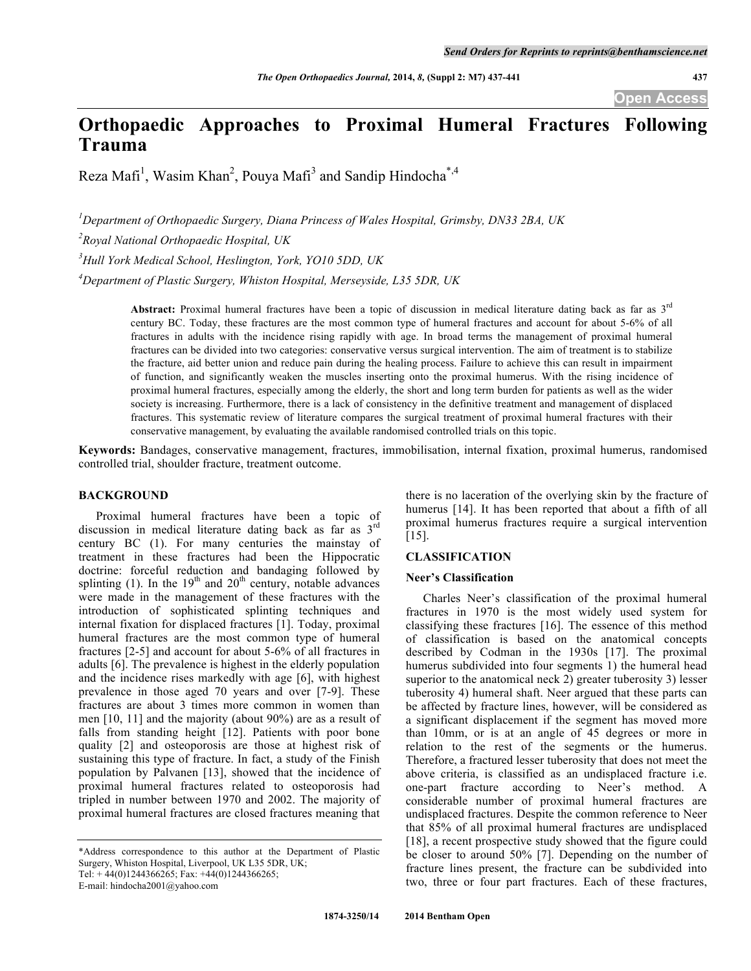# **Orthopaedic Approaches to Proximal Humeral Fractures Following Trauma**

Reza Mafi<sup>1</sup>, Wasim Khan<sup>2</sup>, Pouya Mafi<sup>3</sup> and Sandip Hindocha<sup>\*,4</sup>

*1 Department of Orthopaedic Surgery, Diana Princess of Wales Hospital, Grimsby, DN33 2BA, UK*

*2 Royal National Orthopaedic Hospital, UK*

*3 Hull York Medical School, Heslington, York, YO10 5DD, UK*

*4 Department of Plastic Surgery, Whiston Hospital, Merseyside, L35 5DR, UK*

**Abstract:** Proximal humeral fractures have been a topic of discussion in medical literature dating back as far as 3rd century BC. Today, these fractures are the most common type of humeral fractures and account for about 5-6% of all fractures in adults with the incidence rising rapidly with age. In broad terms the management of proximal humeral fractures can be divided into two categories: conservative versus surgical intervention. The aim of treatment is to stabilize the fracture, aid better union and reduce pain during the healing process. Failure to achieve this can result in impairment of function, and significantly weaken the muscles inserting onto the proximal humerus. With the rising incidence of proximal humeral fractures, especially among the elderly, the short and long term burden for patients as well as the wider society is increasing. Furthermore, there is a lack of consistency in the definitive treatment and management of displaced fractures. This systematic review of literature compares the surgical treatment of proximal humeral fractures with their conservative management, by evaluating the available randomised controlled trials on this topic.

**Keywords:** Bandages, conservative management, fractures, immobilisation, internal fixation, proximal humerus, randomised controlled trial, shoulder fracture, treatment outcome.

## **BACKGROUND**

Proximal humeral fractures have been a topic of discussion in medical literature dating back as far as 3rd century BC (1). For many centuries the mainstay of treatment in these fractures had been the Hippocratic doctrine: forceful reduction and bandaging followed by splinting (1). In the  $19<sup>th</sup>$  and  $20<sup>th</sup>$  century, notable advances were made in the management of these fractures with the introduction of sophisticated splinting techniques and internal fixation for displaced fractures [1]. Today, proximal humeral fractures are the most common type of humeral fractures [2-5] and account for about 5-6% of all fractures in adults [6]. The prevalence is highest in the elderly population and the incidence rises markedly with age [6], with highest prevalence in those aged 70 years and over [7-9]. These fractures are about 3 times more common in women than men [10, 11] and the majority (about 90%) are as a result of falls from standing height [12]. Patients with poor bone quality [2] and osteoporosis are those at highest risk of sustaining this type of fracture. In fact, a study of the Finish population by Palvanen [13], showed that the incidence of proximal humeral fractures related to osteoporosis had tripled in number between 1970 and 2002. The majority of proximal humeral fractures are closed fractures meaning that

\*Address correspondence to this author at the Department of Plastic Surgery, Whiston Hospital, Liverpool, UK L35 5DR, UK; Tel:  $+44(0)1244366265$ ; Fax:  $+44(0)1244366265$ ;

E-mail: hindocha2001@yahoo.com

there is no laceration of the overlying skin by the fracture of humerus [14]. It has been reported that about a fifth of all proximal humerus fractures require a surgical intervention [15].

## **CLASSIFICATION**

### **Neer's Classification**

Charles Neer's classification of the proximal humeral fractures in 1970 is the most widely used system for classifying these fractures [16]. The essence of this method of classification is based on the anatomical concepts described by Codman in the 1930s [17]. The proximal humerus subdivided into four segments 1) the humeral head superior to the anatomical neck 2) greater tuberosity 3) lesser tuberosity 4) humeral shaft. Neer argued that these parts can be affected by fracture lines, however, will be considered as a significant displacement if the segment has moved more than 10mm, or is at an angle of 45 degrees or more in relation to the rest of the segments or the humerus. Therefore, a fractured lesser tuberosity that does not meet the above criteria, is classified as an undisplaced fracture i.e. one-part fracture according to Neer's method. A considerable number of proximal humeral fractures are undisplaced fractures. Despite the common reference to Neer that 85% of all proximal humeral fractures are undisplaced [18], a recent prospective study showed that the figure could be closer to around 50% [7]. Depending on the number of fracture lines present, the fracture can be subdivided into two, three or four part fractures. Each of these fractures,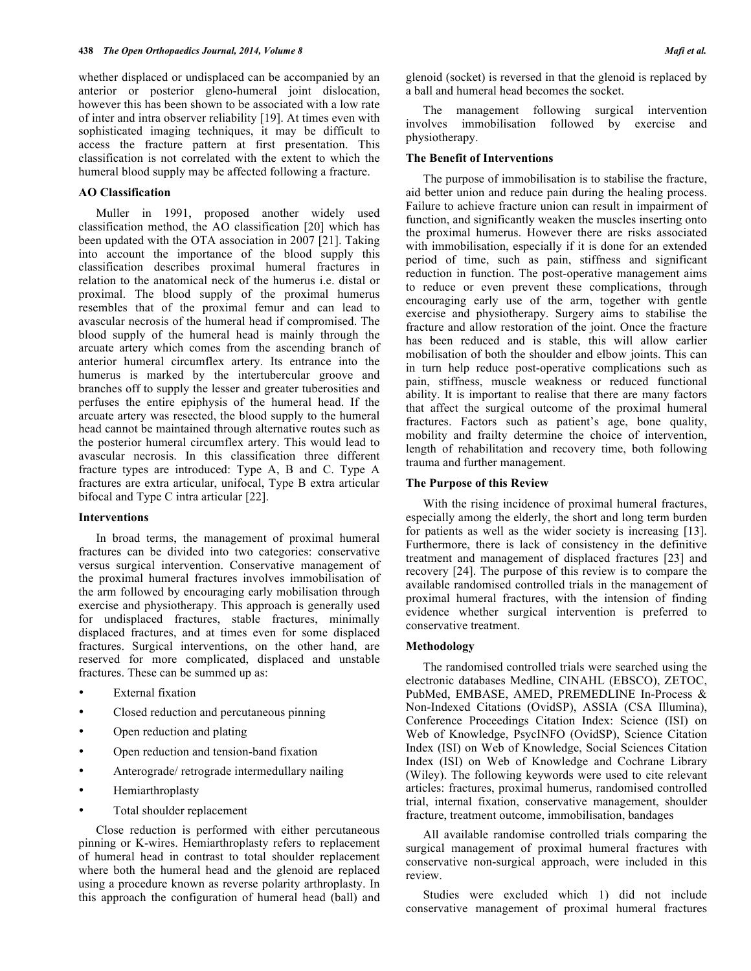whether displaced or undisplaced can be accompanied by an anterior or posterior gleno-humeral joint dislocation, however this has been shown to be associated with a low rate of inter and intra observer reliability [19]. At times even with sophisticated imaging techniques, it may be difficult to access the fracture pattern at first presentation. This classification is not correlated with the extent to which the humeral blood supply may be affected following a fracture.

## **AO Classification**

Muller in 1991, proposed another widely used classification method, the AO classification [20] which has been updated with the OTA association in 2007 [21]. Taking into account the importance of the blood supply this classification describes proximal humeral fractures in relation to the anatomical neck of the humerus i.e. distal or proximal. The blood supply of the proximal humerus resembles that of the proximal femur and can lead to avascular necrosis of the humeral head if compromised. The blood supply of the humeral head is mainly through the arcuate artery which comes from the ascending branch of anterior humeral circumflex artery. Its entrance into the humerus is marked by the intertubercular groove and branches off to supply the lesser and greater tuberosities and perfuses the entire epiphysis of the humeral head. If the arcuate artery was resected, the blood supply to the humeral head cannot be maintained through alternative routes such as the posterior humeral circumflex artery. This would lead to avascular necrosis. In this classification three different fracture types are introduced: Type A, B and C. Type A fractures are extra articular, unifocal, Type B extra articular bifocal and Type C intra articular [22].

## **Interventions**

In broad terms, the management of proximal humeral fractures can be divided into two categories: conservative versus surgical intervention. Conservative management of the proximal humeral fractures involves immobilisation of the arm followed by encouraging early mobilisation through exercise and physiotherapy. This approach is generally used for undisplaced fractures, stable fractures, minimally displaced fractures, and at times even for some displaced fractures. Surgical interventions, on the other hand, are reserved for more complicated, displaced and unstable fractures. These can be summed up as:

- External fixation
- Closed reduction and percutaneous pinning
- Open reduction and plating
- Open reduction and tension-band fixation
- Anterograde/ retrograde intermedullary nailing
- Hemiarthroplasty
- Total shoulder replacement

Close reduction is performed with either percutaneous pinning or K-wires. Hemiarthroplasty refers to replacement of humeral head in contrast to total shoulder replacement where both the humeral head and the glenoid are replaced using a procedure known as reverse polarity arthroplasty. In this approach the configuration of humeral head (ball) and

glenoid (socket) is reversed in that the glenoid is replaced by a ball and humeral head becomes the socket.

The management following surgical intervention involves immobilisation followed by exercise and physiotherapy.

## **The Benefit of Interventions**

The purpose of immobilisation is to stabilise the fracture, aid better union and reduce pain during the healing process. Failure to achieve fracture union can result in impairment of function, and significantly weaken the muscles inserting onto the proximal humerus. However there are risks associated with immobilisation, especially if it is done for an extended period of time, such as pain, stiffness and significant reduction in function. The post-operative management aims to reduce or even prevent these complications, through encouraging early use of the arm, together with gentle exercise and physiotherapy. Surgery aims to stabilise the fracture and allow restoration of the joint. Once the fracture has been reduced and is stable, this will allow earlier mobilisation of both the shoulder and elbow joints. This can in turn help reduce post-operative complications such as pain, stiffness, muscle weakness or reduced functional ability. It is important to realise that there are many factors that affect the surgical outcome of the proximal humeral fractures. Factors such as patient's age, bone quality, mobility and frailty determine the choice of intervention, length of rehabilitation and recovery time, both following trauma and further management.

## **The Purpose of this Review**

With the rising incidence of proximal humeral fractures, especially among the elderly, the short and long term burden for patients as well as the wider society is increasing [13]. Furthermore, there is lack of consistency in the definitive treatment and management of displaced fractures [23] and recovery [24]. The purpose of this review is to compare the available randomised controlled trials in the management of proximal humeral fractures, with the intension of finding evidence whether surgical intervention is preferred to conservative treatment.

#### **Methodology**

The randomised controlled trials were searched using the electronic databases Medline, CINAHL (EBSCO), ZETOC, PubMed, EMBASE, AMED, PREMEDLINE In-Process & Non-Indexed Citations (OvidSP), ASSIA (CSA Illumina), Conference Proceedings Citation Index: Science (ISI) on Web of Knowledge, PsycINFO (OvidSP), Science Citation Index (ISI) on Web of Knowledge, Social Sciences Citation Index (ISI) on Web of Knowledge and Cochrane Library (Wiley). The following keywords were used to cite relevant articles: fractures, proximal humerus, randomised controlled trial, internal fixation, conservative management, shoulder fracture, treatment outcome, immobilisation, bandages

All available randomise controlled trials comparing the surgical management of proximal humeral fractures with conservative non-surgical approach, were included in this review.

Studies were excluded which 1) did not include conservative management of proximal humeral fractures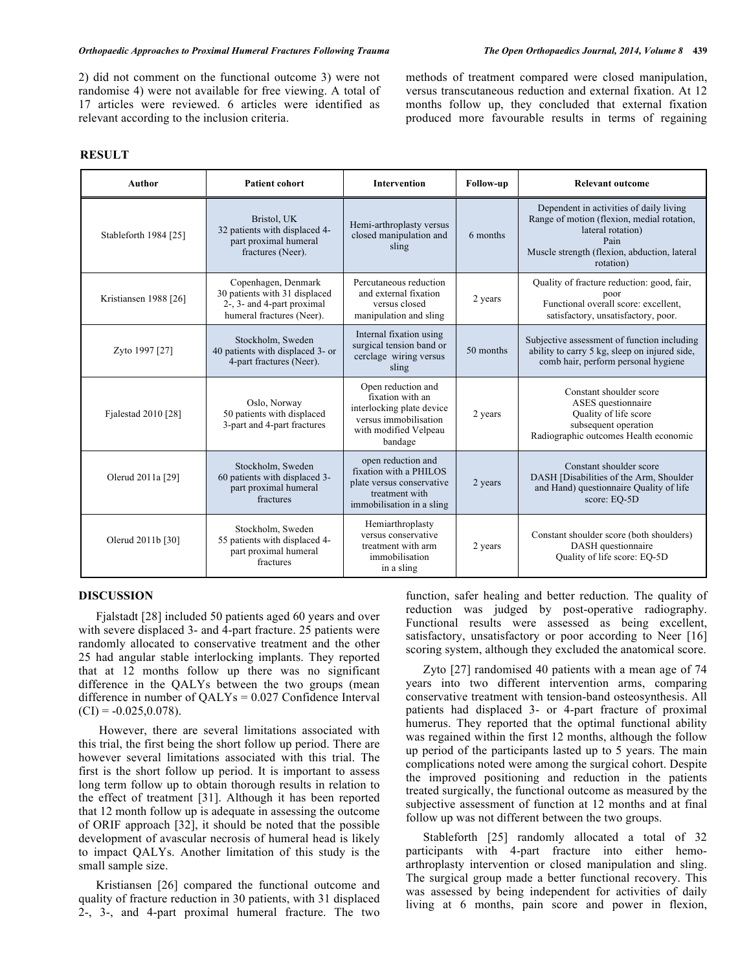2) did not comment on the functional outcome 3) were not randomise 4) were not available for free viewing. A total of 17 articles were reviewed. 6 articles were identified as relevant according to the inclusion criteria.

months follow up, they concluded that external fixation produced more favourable results in terms of regaining

## **RESULT**

| Author                | <b>Patient cohort</b>                                                                                           | <b>Intervention</b>                                                                                                              | Follow-up | <b>Relevant outcome</b>                                                                                                                                                         |
|-----------------------|-----------------------------------------------------------------------------------------------------------------|----------------------------------------------------------------------------------------------------------------------------------|-----------|---------------------------------------------------------------------------------------------------------------------------------------------------------------------------------|
| Stableforth 1984 [25] | Bristol. UK<br>32 patients with displaced 4-<br>part proximal humeral<br>fractures (Neer).                      | Hemi-arthroplasty versus<br>closed manipulation and<br>sling                                                                     | 6 months  | Dependent in activities of daily living<br>Range of motion (flexion, medial rotation,<br>lateral rotation)<br>Pain<br>Muscle strength (flexion, abduction, lateral<br>rotation) |
| Kristiansen 1988 [26] | Copenhagen, Denmark<br>30 patients with 31 displaced<br>2-, 3- and 4-part proximal<br>humeral fractures (Neer). | Percutaneous reduction<br>and external fixation<br>versus closed<br>manipulation and sling                                       | 2 years   | Quality of fracture reduction: good, fair,<br>poor<br>Functional overall score: excellent.<br>satisfactory, unsatisfactory, poor.                                               |
| Zyto 1997 [27]        | Stockholm, Sweden<br>40 patients with displaced 3- or<br>4-part fractures (Neer).                               | Internal fixation using<br>surgical tension band or<br>cerclage wiring versus<br>sling                                           | 50 months | Subjective assessment of function including<br>ability to carry 5 kg, sleep on injured side,<br>comb hair, perform personal hygiene                                             |
| Fjalestad 2010 [28]   | Oslo, Norway<br>50 patients with displaced<br>3-part and 4-part fractures                                       | Open reduction and<br>fixation with an<br>interlocking plate device<br>versus immobilisation<br>with modified Velpeau<br>bandage | 2 years   | Constant shoulder score<br>ASES questionnaire<br>Quality of life score<br>subsequent operation<br>Radiographic outcomes Health economic                                         |
| Olerud 2011a [29]     | Stockholm, Sweden<br>60 patients with displaced 3-<br>part proximal humeral<br>fractures                        | open reduction and<br>fixation with a PHILOS<br>plate versus conservative<br>treatment with<br>immobilisation in a sling         | 2 years   | Constant shoulder score<br>DASH [Disabilities of the Arm, Shoulder<br>and Hand) questionnaire Quality of life<br>score: EO-5D                                                   |
| Olerud 2011b [30]     | Stockholm, Sweden<br>55 patients with displaced 4-<br>part proximal humeral<br>fractures                        | Hemiarthroplasty<br>versus conservative<br>treatment with arm<br>immobilisation<br>in a sling                                    | 2 years   | Constant shoulder score (both shoulders)<br>DASH questionnaire<br>Quality of life score: EQ-5D                                                                                  |

## **DISCUSSION**

Fjalstadt [28] included 50 patients aged 60 years and over with severe displaced 3- and 4-part fracture. 25 patients were randomly allocated to conservative treatment and the other 25 had angular stable interlocking implants. They reported that at 12 months follow up there was no significant difference in the QALYs between the two groups (mean difference in number of QALYs = 0.027 Confidence Interval  $(CI) = -0.025, 0.078$ .

However, there are several limitations associated with this trial, the first being the short follow up period. There are however several limitations associated with this trial. The first is the short follow up period. It is important to assess long term follow up to obtain thorough results in relation to the effect of treatment [31]. Although it has been reported that 12 month follow up is adequate in assessing the outcome of ORIF approach [32], it should be noted that the possible development of avascular necrosis of humeral head is likely to impact QALYs. Another limitation of this study is the small sample size.

Kristiansen [26] compared the functional outcome and quality of fracture reduction in 30 patients, with 31 displaced 2-, 3-, and 4-part proximal humeral fracture. The two

function, safer healing and better reduction. The quality of reduction was judged by post-operative radiography. Functional results were assessed as being excellent, satisfactory, unsatisfactory or poor according to Neer [16] scoring system, although they excluded the anatomical score.

Zyto [27] randomised 40 patients with a mean age of 74 years into two different intervention arms, comparing conservative treatment with tension-band osteosynthesis. All patients had displaced 3- or 4-part fracture of proximal humerus. They reported that the optimal functional ability was regained within the first 12 months, although the follow up period of the participants lasted up to 5 years. The main complications noted were among the surgical cohort. Despite the improved positioning and reduction in the patients treated surgically, the functional outcome as measured by the subjective assessment of function at 12 months and at final follow up was not different between the two groups.

Stableforth [25] randomly allocated a total of 32 participants with 4-part fracture into either hemoarthroplasty intervention or closed manipulation and sling. The surgical group made a better functional recovery. This was assessed by being independent for activities of daily living at 6 months, pain score and power in flexion,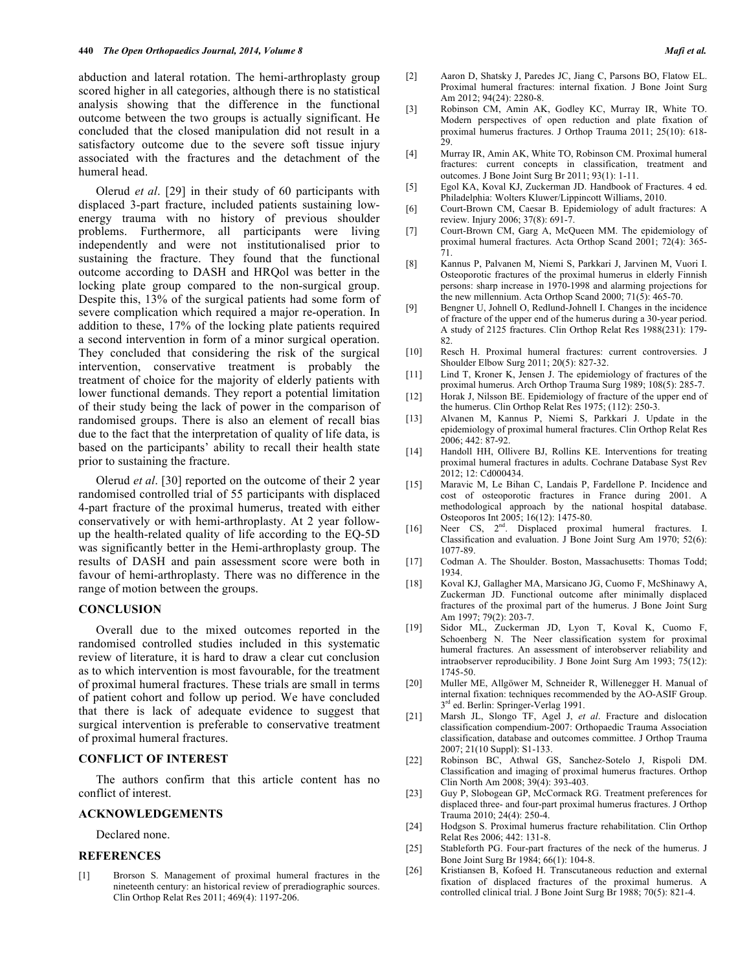abduction and lateral rotation. The hemi-arthroplasty group scored higher in all categories, although there is no statistical analysis showing that the difference in the functional outcome between the two groups is actually significant. He concluded that the closed manipulation did not result in a satisfactory outcome due to the severe soft tissue injury associated with the fractures and the detachment of the humeral head.

Olerud *et al*. [29] in their study of 60 participants with displaced 3-part fracture, included patients sustaining lowenergy trauma with no history of previous shoulder problems. Furthermore, all participants were living independently and were not institutionalised prior to sustaining the fracture. They found that the functional outcome according to DASH and HRQol was better in the locking plate group compared to the non-surgical group. Despite this, 13% of the surgical patients had some form of severe complication which required a major re-operation. In addition to these, 17% of the locking plate patients required a second intervention in form of a minor surgical operation. They concluded that considering the risk of the surgical intervention, conservative treatment is probably the treatment of choice for the majority of elderly patients with lower functional demands. They report a potential limitation of their study being the lack of power in the comparison of randomised groups. There is also an element of recall bias due to the fact that the interpretation of quality of life data, is based on the participants' ability to recall their health state prior to sustaining the fracture.

Olerud *et al*. [30] reported on the outcome of their 2 year randomised controlled trial of 55 participants with displaced 4-part fracture of the proximal humerus, treated with either conservatively or with hemi-arthroplasty. At 2 year followup the health-related quality of life according to the EQ-5D was significantly better in the Hemi-arthroplasty group. The results of DASH and pain assessment score were both in favour of hemi-arthroplasty. There was no difference in the range of motion between the groups.

## **CONCLUSION**

Overall due to the mixed outcomes reported in the randomised controlled studies included in this systematic review of literature, it is hard to draw a clear cut conclusion as to which intervention is most favourable, for the treatment of proximal humeral fractures. These trials are small in terms of patient cohort and follow up period. We have concluded that there is lack of adequate evidence to suggest that surgical intervention is preferable to conservative treatment of proximal humeral fractures.

## **CONFLICT OF INTEREST**

The authors confirm that this article content has no conflict of interest.

#### **ACKNOWLEDGEMENTS**

Declared none.

## **REFERENCES**

[1] Brorson S. Management of proximal humeral fractures in the nineteenth century: an historical review of preradiographic sources. Clin Orthop Relat Res 2011; 469(4): 1197-206.

- [2] Aaron D, Shatsky J, Paredes JC, Jiang C, Parsons BO, Flatow EL. Proximal humeral fractures: internal fixation. J Bone Joint Surg Am 2012; 94(24): 2280-8.
- [3] Robinson CM, Amin AK, Godley KC, Murray IR, White TO. Modern perspectives of open reduction and plate fixation of proximal humerus fractures. J Orthop Trauma 2011; 25(10): 618- 29.
- [4] Murray IR, Amin AK, White TO, Robinson CM. Proximal humeral fractures: current concepts in classification, treatment and outcomes. J Bone Joint Surg Br 2011; 93(1): 1-11.
- [5] Egol KA, Koval KJ, Zuckerman JD. Handbook of Fractures. 4 ed. Philadelphia: Wolters Kluwer/Lippincott Williams, 2010.
- [6] Court-Brown CM, Caesar B. Epidemiology of adult fractures: A review. Injury 2006; 37(8): 691-7.
- [7] Court-Brown CM, Garg A, McQueen MM. The epidemiology of proximal humeral fractures. Acta Orthop Scand 2001; 72(4): 365- 71.
- [8] Kannus P, Palvanen M, Niemi S, Parkkari J, Jarvinen M, Vuori I. Osteoporotic fractures of the proximal humerus in elderly Finnish persons: sharp increase in 1970-1998 and alarming projections for the new millennium. Acta Orthop Scand 2000; 71(5): 465-70.
- [9] Bengner U, Johnell O, Redlund-Johnell I. Changes in the incidence of fracture of the upper end of the humerus during a 30-year period. A study of 2125 fractures. Clin Orthop Relat Res 1988(231): 179- 82.
- [10] Resch H. Proximal humeral fractures: current controversies. J Shoulder Elbow Surg 2011; 20(5): 827-32.
- [11] Lind T, Kroner K, Jensen J. The epidemiology of fractures of the proximal humerus. Arch Orthop Trauma Surg 1989; 108(5): 285-7.
- [12] Horak J, Nilsson BE. Epidemiology of fracture of the upper end of the humerus. Clin Orthop Relat Res 1975; (112): 250-3.
- [13] Alvanen M, Kannus P, Niemi S, Parkkari J. Update in the epidemiology of proximal humeral fractures. Clin Orthop Relat Res 2006; 442: 87-92.
- [14] Handoll HH, Ollivere BJ, Rollins KE. Interventions for treating proximal humeral fractures in adults. Cochrane Database Syst Rev 2012; 12: Cd000434.
- [15] Maravic M, Le Bihan C, Landais P, Fardellone P. Incidence and cost of osteoporotic fractures in France during 2001. A methodological approach by the national hospital database. Osteoporos Int 2005; 16(12): 1475-80.
- [16] Neer CS, 2<sup>nd</sup>. Displaced proximal humeral fractures. I. Classification and evaluation. J Bone Joint Surg Am 1970; 52(6): 1077-89.
- [17] Codman A. The Shoulder. Boston, Massachusetts: Thomas Todd; 1934.
- [18] Koval KJ, Gallagher MA, Marsicano JG, Cuomo F, McShinawy A, Zuckerman JD. Functional outcome after minimally displaced fractures of the proximal part of the humerus. J Bone Joint Surg Am 1997; 79(2): 203-7.
- [19] Sidor ML, Zuckerman JD, Lyon T, Koval K, Cuomo F, Schoenberg N. The Neer classification system for proximal humeral fractures. An assessment of interobserver reliability and intraobserver reproducibility. J Bone Joint Surg Am 1993; 75(12): 1745-50.
- [20] Muller ME, Allgöwer M, Schneider R, Willenegger H. Manual of internal fixation: techniques recommended by the AO-ASIF Group. 3<sup>rd</sup> ed. Berlin: Springer-Verlag 1991.
- [21] Marsh JL, Slongo TF, Agel J, *et al*. Fracture and dislocation classification compendium-2007: Orthopaedic Trauma Association classification, database and outcomes committee. J Orthop Trauma 2007; 21(10 Suppl): S1-133.
- [22] Robinson BC, Athwal GS, Sanchez-Sotelo J, Rispoli DM. Classification and imaging of proximal humerus fractures. Orthop Clin North Am 2008; 39(4): 393-403.
- [23] Guy P, Slobogean GP, McCormack RG. Treatment preferences for displaced three- and four-part proximal humerus fractures. J Orthop Trauma 2010; 24(4): 250-4.
- [24] Hodgson S. Proximal humerus fracture rehabilitation. Clin Orthop Relat Res 2006; 442: 131-8.
- [25] Stableforth PG. Four-part fractures of the neck of the humerus. J Bone Joint Surg Br 1984; 66(1): 104-8.
- [26] Kristiansen B, Kofoed H. Transcutaneous reduction and external fixation of displaced fractures of the proximal humerus. A controlled clinical trial. J Bone Joint Surg Br 1988; 70(5): 821-4.